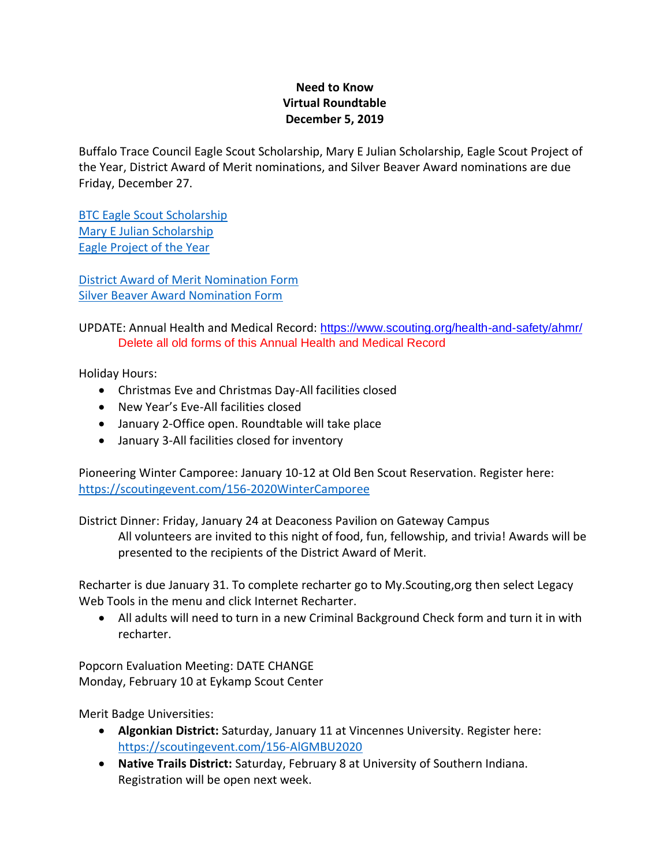## **Need to Know Virtual Roundtable December 5, 2019**

Buffalo Trace Council Eagle Scout Scholarship, Mary E Julian Scholarship, Eagle Scout Project of the Year, District Award of Merit nominations, and Silver Beaver Award nominations are due Friday, December 27.

[BTC Eagle Scout Scholarship](https://cfa4128b-0778-4aaa-85c4-3415b1f00e54.filesusr.com/ugd/27aee5_11bfcb73a0ec469388f93412464638f0.pdf) [Mary E Julian Scholarship](https://cfa4128b-0778-4aaa-85c4-3415b1f00e54.filesusr.com/ugd/27aee5_7f168b291cb34b2eb6d7804015dc0a62.pdf) [Eagle Project of the Year](https://cfa4128b-0778-4aaa-85c4-3415b1f00e54.filesusr.com/ugd/27aee5_8c1e3372bafd4c01864203854e592d23.pdf)

[District Award of Merit Nomination Form](https://filestore.scouting.org/filestore/pdf/33720.pdf) [Silver Beaver Award Nomination Form](https://filestore.scouting.org/filestore/pdf/92-103.pdf)

UPDATE: Annual Health and Medical Record: [https://www.scouting.org/health-and-safety/ahmr/](https://t.email.scouting.org/r/?id=h13c5a2fb,a3fc151,a400b83) Delete all old forms of this Annual Health and Medical Record

Holiday Hours:

- Christmas Eve and Christmas Day-All facilities closed
- New Year's Eve-All facilities closed
- January 2-Office open. Roundtable will take place
- January 3-All facilities closed for inventory

Pioneering Winter Camporee: January 10-12 at Old Ben Scout Reservation. Register here: <https://scoutingevent.com/156-2020WinterCamporee>

District Dinner: Friday, January 24 at Deaconess Pavilion on Gateway Campus

All volunteers are invited to this night of food, fun, fellowship, and trivia! Awards will be presented to the recipients of the District Award of Merit.

Recharter is due January 31. To complete recharter go to My.Scouting,org then select Legacy Web Tools in the menu and click Internet Recharter.

• All adults will need to turn in a new Criminal Background Check form and turn it in with recharter.

Popcorn Evaluation Meeting: DATE CHANGE Monday, February 10 at Eykamp Scout Center

Merit Badge Universities:

- **Algonkian District:** Saturday, January 11 at Vincennes University. Register here: <https://scoutingevent.com/156-AlGMBU2020>
- **Native Trails District:** Saturday, February 8 at University of Southern Indiana. Registration will be open next week.